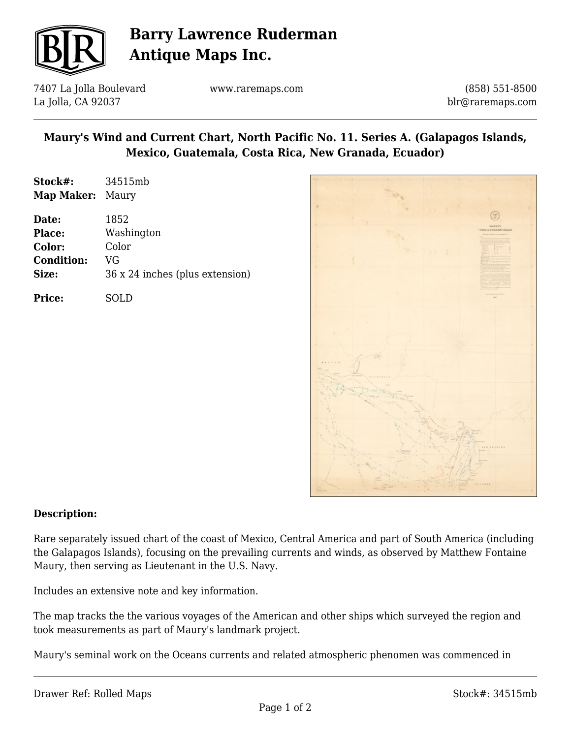

## **Barry Lawrence Ruderman Antique Maps Inc.**

7407 La Jolla Boulevard La Jolla, CA 92037

www.raremaps.com

(858) 551-8500 blr@raremaps.com

## **Maury's Wind and Current Chart, North Pacific No. 11. Series A. (Galapagos Islands, Mexico, Guatemala, Costa Rica, New Granada, Ecuador)**

| Stock#:<br><b>Map Maker: Maury</b>                      | 34515mb                                                              |
|---------------------------------------------------------|----------------------------------------------------------------------|
| Date:<br>Place:<br>Color:<br><b>Condition:</b><br>Size: | 1852<br>Washington<br>Color<br>VG<br>36 x 24 inches (plus extension) |
|                                                         |                                                                      |

**Price:** SOLD



### **Description:**

Rare separately issued chart of the coast of Mexico, Central America and part of South America (including the Galapagos Islands), focusing on the prevailing currents and winds, as observed by Matthew Fontaine Maury, then serving as Lieutenant in the U.S. Navy.

Includes an extensive note and key information.

The map tracks the the various voyages of the American and other ships which surveyed the region and took measurements as part of Maury's landmark project.

Maury's seminal work on the Oceans currents and related atmospheric phenomen was commenced in